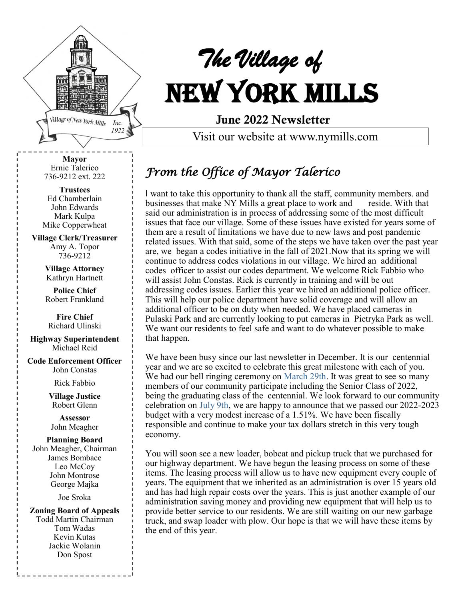

# *The Village of*  New York Mills

June 2022 Newsletter

Visit our website at www.nymills.com

**Mayor** Ernie Talerico 736-9212 ext. 222

**Trustees** Ed Chamberlain John Edwards Mark Kulpa Mike Copperwheat

**Village Clerk/Treasurer** Amy A. Topor 736-9212

> **Village Attorney** Kathryn Hartnett

> **Police Chief**  Robert Frankland

**Fire Chief** Richard Ulinski

**Highway Superintendent** Michael Reid

**Code Enforcement Officer** John Constas

Rick Fabbio

**Village Justice** Robert Glenn

**Assessor** John Meagher

#### **Planning Board**

John Meagher, Chairman James Bombace Leo McCoy John Montrose George Majka

Joe Sroka

**Zoning Board of Appeals** Todd Martin Chairman Tom Wadas Kevin Kutas Jackie Wolanin Don Spost

# *From the Office of Mayor Talerico*

I want to take this opportunity to thank all the staff, community members. and businesses that make NY Mills a great place to work and reside. With that said our administration is in process of addressing some of the most difficult issues that face our village. Some of these issues have existed for years some of them are a result of limitations we have due to new laws and post pandemic related issues. With that said, some of the steps we have taken over the past year are, we began a codes initiative in the fall of 2021.Now that its spring we will continue to address codes violations in our village. We hired an additional codes officer to assist our codes department. We welcome Rick Fabbio who will assist John Constas. Rick is currently in training and will be out addressing codes issues. Earlier this year we hired an additional police officer. This will help our police department have solid coverage and will allow an additional officer to be on duty when needed. We have placed cameras in Pulaski Park and are currently looking to put cameras in Pietryka Park as well. We want our residents to feel safe and want to do whatever possible to make that happen.

We have been busy since our last newsletter in December. It is our centennial year and we are so excited to celebrate this great milestone with each of you. We had our bell ringing ceremony on March 29th. It was great to see so many members of our community participate including the Senior Class of 2022, being the graduating class of the centennial. We look forward to our community celebration on July 9th, we are happy to announce that we passed our 2022-2023 budget with a very modest increase of a 1.51%. We have been fiscally responsible and continue to make your tax dollars stretch in this very tough economy.

You will soon see a new loader, bobcat and pickup truck that we purchased for our highway department. We have begun the leasing process on some of these items. The leasing process will allow us to have new equipment every couple of years. The equipment that we inherited as an administration is over 15 years old and has had high repair costs over the years. This is just another example of our administration saving money and providing new equipment that will help us to provide better service to our residents. We are still waiting on our new garbage truck, and swap loader with plow. Our hope is that we will have these items by the end of this year.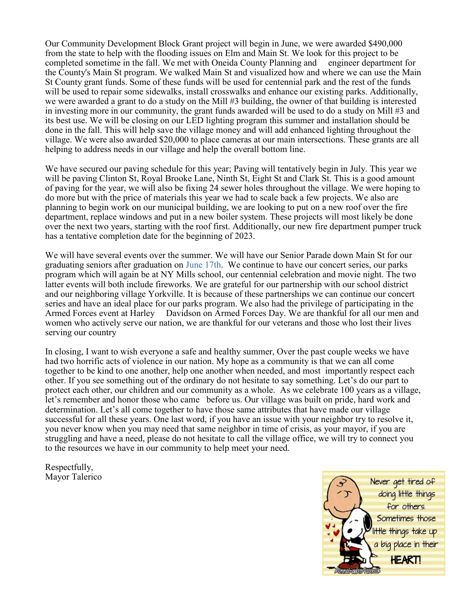Our Community Development Block Grant project will begin in June, we were awarded \$490,000 from the state to help with the flooding issues on Elm and Main St. We look for this project to be completed sometime in the fall. We met with Oneida County Planning and engineer department for the County's Main St program. We walked Main St and visualized how and where we can use the Main St County grant funds. Some of these funds will be used for centennial park and the rest of the funds will be used to repair some sidewalks, install crosswalks and enhance our existing parks. Additionally, we were awarded a grant to do a study on the Mill #3 building, the owner of that building is interested in investing more in our community, the grant funds awarded will be used to do a study on Mill #3 and its best use. We will be closing on our LED lighting program this summer and installation should be done in the fall. This will help save the village money and will add enhanced lighting throughout the village. We were also awarded \$20,000 to place cameras at our main intersections. These grants are all helping to address needs in our village and help the overall bottom line.

We have secured our paving schedule for this year; Paving will tentatively begin in July. This year we will be paving Clinton St, Royal Brooke Lane, Ninth St, Eight St and Clark St. This is a good amount of paving for the year, we will also be fixing 24 sewer holes throughout the village. We were hoping to do more but with the price of materials this year we had to scale back a few projects. We also are planning to begin work on our municipal building, we are looking to put on a new roof over the fire department, replace windows and put in a new boiler system. These projects will most likely be done over the next two years, starting with the roof first. Additionally, our new fire department pumper truck has a tentative completion date for the beginning of 2023.

We will have several events over the summer. We will have our Senior Parade down Main St for our graduating seniors after graduation on June 17th. We continue to have our concert series, our parks program which will again be at NY Mills school, our centennial celebration and movie night. The two latter events will both include fireworks. We are grateful for our partnership with our school district and our neighboring village Yorkville. It is because of these partnerships we can continue our concert series and have an ideal place for our parks program. We also had the privilege of participating in the Armed Forces event at Harley Davidson on Armed Forces Day. We are thankful for all our men and women who actively serve our nation, we are thankful for our veterans and those who lost their lives serving our country

In closing, I want to wish everyone a safe and healthy summer, Over the past couple weeks we have had two horrific acts of violence in our nation. My hope as a community is that we can all come together to be kind to one another, help one another when needed, and most importantly respect each other. If you see something out of the ordinary do not hesitate to say something. Let's do our part to protect each other, our children and our community as a whole. As we celebrate 100 years as a village, let's remember and honor those who came before us. Our village was built on pride, hard work and determination. Let's all come together to have those same attributes that have made our village successful for all these years. One last word, if you have an issue with your neighbor try to resolve it, you never know when you may need that same neighbor in time of crisis, as your mayor, if you are struggling and have a need, please do not hesitate to call the village office, we will try to connect you to the resources we have in our community to help meet your need.

Respectfully, Mayor Talerico

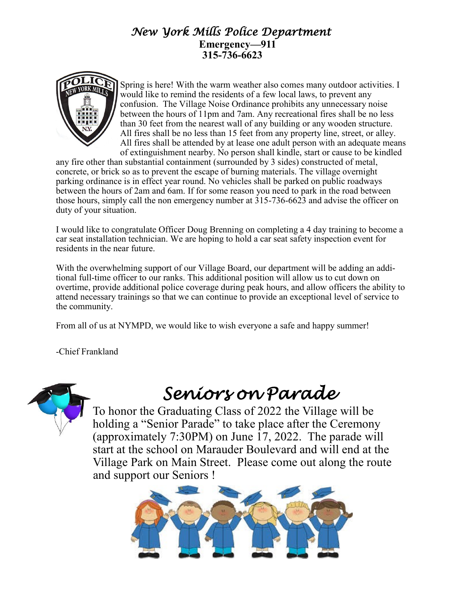#### *New York Mills Police Department*   **Emergency—911 315-736-6623**



Spring is here! With the warm weather also comes many outdoor activities. I would like to remind the residents of a few local laws, to prevent any confusion. The Village Noise Ordinance prohibits any unnecessary noise between the hours of 11pm and 7am. Any recreational fires shall be no less than 30 feet from the nearest wall of any building or any wooden structure. All fires shall be no less than 15 feet from any property line, street, or alley. All fires shall be attended by at lease one adult person with an adequate means of extinguishment nearby. No person shall kindle, start or cause to be kindled

any fire other than substantial containment (surrounded by 3 sides) constructed of metal, concrete, or brick so as to prevent the escape of burning materials. The village overnight parking ordinance is in effect year round. No vehicles shall be parked on public roadways between the hours of 2am and 6am. If for some reason you need to park in the road between those hours, simply call the non emergency number at 315-736-6623 and advise the officer on duty of your situation.

I would like to congratulate Officer Doug Brenning on completing a 4 day training to become a car seat installation technician. We are hoping to hold a car seat safety inspection event for residents in the near future.

With the overwhelming support of our Village Board, our department will be adding an additional full-time officer to our ranks. This additional position will allow us to cut down on overtime, provide additional police coverage during peak hours, and allow officers the ability to attend necessary trainings so that we can continue to provide an exceptional level of service to the community.

From all of us at NYMPD, we would like to wish everyone a safe and happy summer!

-Chief Frankland



# *Seniors on Parade*

To honor the Graduating Class of 2022 the Village will be holding a "Senior Parade" to take place after the Ceremony (approximately 7:30PM) on June 17, 2022. The parade will start at the school on Marauder Boulevard and will end at the Village Park on Main Street. Please come out along the route and support our Seniors !

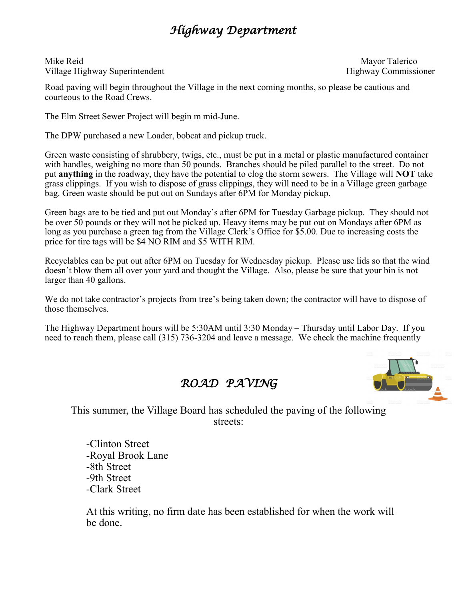### *Highway Department*

Mike Reid Mayor Talerico Village Highway Superintendent Highway Commissioner

Road paving will begin throughout the Village in the next coming months, so please be cautious and courteous to the Road Crews.

The Elm Street Sewer Project will begin m mid-June.

The DPW purchased a new Loader, bobcat and pickup truck.

Green waste consisting of shrubbery, twigs, etc., must be put in a metal or plastic manufactured container with handles, weighing no more than 50 pounds. Branches should be piled parallel to the street. Do not put **anything** in the roadway, they have the potential to clog the storm sewers. The Village will **NOT** take grass clippings. If you wish to dispose of grass clippings, they will need to be in a Village green garbage bag. Green waste should be put out on Sundays after 6PM for Monday pickup.

Green bags are to be tied and put out Monday's after 6PM for Tuesday Garbage pickup. They should not be over 50 pounds or they will not be picked up. Heavy items may be put out on Mondays after 6PM as long as you purchase a green tag from the Village Clerk's Office for \$5.00. Due to increasing costs the price for tire tags will be \$4 NO RIM and \$5 WITH RIM.

Recyclables can be put out after 6PM on Tuesday for Wednesday pickup. Please use lids so that the wind doesn't blow them all over your yard and thought the Village. Also, please be sure that your bin is not larger than 40 gallons.

We do not take contractor's projects from tree's being taken down; the contractor will have to dispose of those themselves.

The Highway Department hours will be 5:30AM until 3:30 Monday – Thursday until Labor Day. If you need to reach them, please call (315) 736-3204 and leave a message. We check the machine frequently



*ROAD PAVING* 

This summer, the Village Board has scheduled the paving of the following streets:

-Clinton Street -Royal Brook Lane -8th Street -9th Street -Clark Street

At this writing, no firm date has been established for when the work will be done.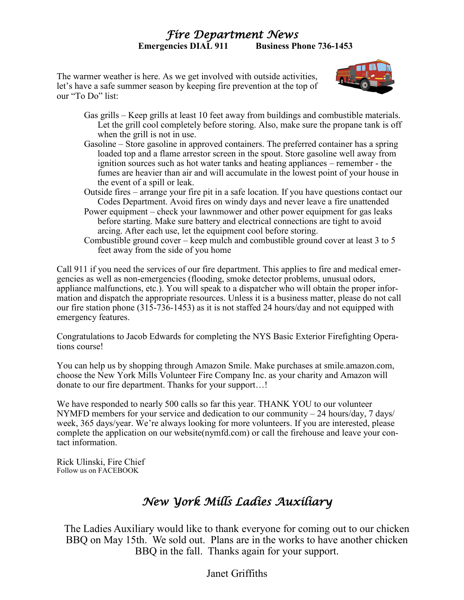#### *Fire Department News*  **Emergencies DIAL 911 Business Phone 736-1453**

The warmer weather is here. As we get involved with outside activities, let's have a safe summer season by keeping fire prevention at the top of our "To Do" list:



- Gas grills Keep grills at least 10 feet away from buildings and combustible materials. Let the grill cool completely before storing. Also, make sure the propane tank is off when the grill is not in use.
- Gasoline Store gasoline in approved containers. The preferred container has a spring loaded top and a flame arrestor screen in the spout. Store gasoline well away from ignition sources such as hot water tanks and heating appliances – remember - the fumes are heavier than air and will accumulate in the lowest point of your house in the event of a spill or leak.
- Outside fires arrange your fire pit in a safe location. If you have questions contact our Codes Department. Avoid fires on windy days and never leave a fire unattended
- Power equipment check your lawnmower and other power equipment for gas leaks before starting. Make sure battery and electrical connections are tight to avoid arcing. After each use, let the equipment cool before storing.
- Combustible ground cover keep mulch and combustible ground cover at least 3 to 5 feet away from the side of you home

Call 911 if you need the services of our fire department. This applies to fire and medical emergencies as well as non-emergencies (flooding, smoke detector problems, unusual odors, appliance malfunctions, etc.). You will speak to a dispatcher who will obtain the proper information and dispatch the appropriate resources. Unless it is a business matter, please do not call our fire station phone (315-736-1453) as it is not staffed 24 hours/day and not equipped with emergency features.

Congratulations to Jacob Edwards for completing the NYS Basic Exterior Firefighting Operations course!

You can help us by shopping through Amazon Smile. Make purchases at smile.amazon.com, choose the New York Mills Volunteer Fire Company Inc. as your charity and Amazon will donate to our fire department. Thanks for your support…!

We have responded to nearly 500 calls so far this year. THANK YOU to our volunteer NYMFD members for your service and dedication to our community  $-24$  hours/day, 7 days/ week, 365 days/year. We're always looking for more volunteers. If you are interested, please complete the application on our website(nymfd.com) or call the firehouse and leave your contact information.

Rick Ulinski, Fire Chief Follow us on FACEBOOK

### *New York Mills Ladies Auxiliary*

The Ladies Auxiliary would like to thank everyone for coming out to our chicken BBQ on May 15th. We sold out. Plans are in the works to have another chicken BBQ in the fall. Thanks again for your support.

Janet Griffiths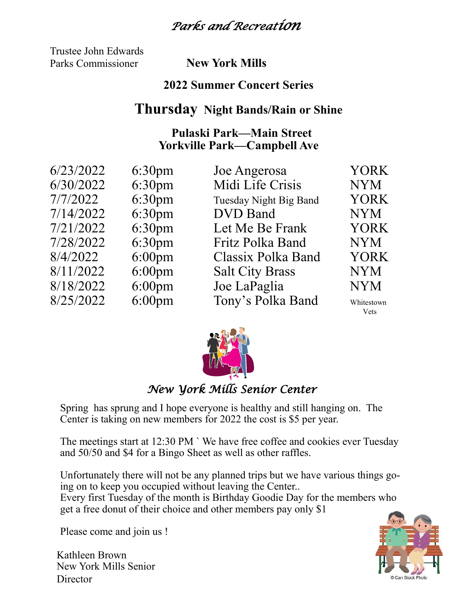### *Parks and Recreation*

Trustee John Edwards Parks Commissioner **New York Mills**

#### **2022 Summer Concert Series**

#### **Thursday Night Bands/Rain or Shine**

#### **Pulaski Park—Main Street Yorkville Park—Campbell Ave**

| 6/23/2022 | 6:30 <sub>pm</sub> | Joe Angerosa           | <b>YORK</b>        |
|-----------|--------------------|------------------------|--------------------|
| 6/30/2022 | 6:30 <sub>pm</sub> | Midi Life Crisis       | <b>NYM</b>         |
| 7/7/2022  | 6:30 <sub>pm</sub> | Tuesday Night Big Band | <b>YORK</b>        |
| 7/14/2022 | 6:30 <sub>pm</sub> | <b>DVD</b> Band        | <b>NYM</b>         |
| 7/21/2022 | 6:30 <sub>pm</sub> | Let Me Be Frank        | <b>YORK</b>        |
| 7/28/2022 | 6:30 <sub>pm</sub> | Fritz Polka Band       | <b>NYM</b>         |
| 8/4/2022  | $6:00 \text{pm}$   | Classix Polka Band     | <b>YORK</b>        |
| 8/11/2022 | $6:00$ pm          | <b>Salt City Brass</b> | <b>NYM</b>         |
| 8/18/2022 | $6:00$ pm          | Joe LaPaglia           | <b>NYM</b>         |
| 8/25/2022 | $6:00$ pm          | Tony's Polka Band      | Whitestown<br>Vets |



#### *New York Mills Senior Center*

Spring has sprung and I hope everyone is healthy and still hanging on. The Center is taking on new members for 2022 the cost is \$5 per year.

The meetings start at 12:30 PM ` We have free coffee and cookies ever Tuesday and 50/50 and \$4 for a Bingo Sheet as well as other raffles.

Unfortunately there will not be any planned trips but we have various things going on to keep you occupied without leaving the Center.. Every first Tuesday of the month is Birthday Goodie Day for the members who get a free donut of their choice and other members pay only \$1

Please come and join us !

Kathleen Brown New York Mills Senior **Director** 

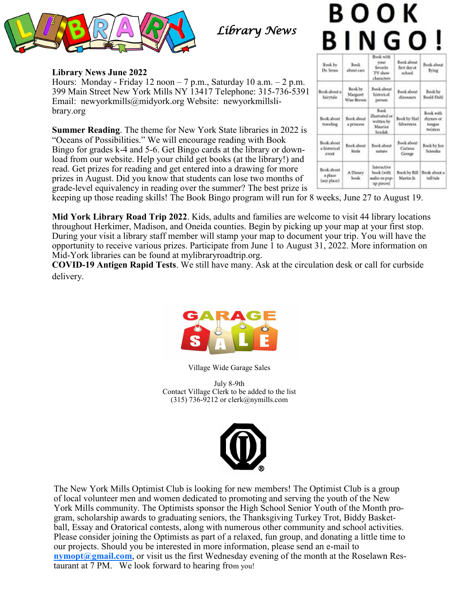

*Library News* 

# воок **BINGO!**

| Book by<br>Dr. Seuss                 | Fook<br>about cars.               | Book with<br><b>SYNAT</b><br>Savorite<br>TV show<br>characters   | Book about<br>first day at<br>school | Book about<br>fring                                 |
|--------------------------------------|-----------------------------------|------------------------------------------------------------------|--------------------------------------|-----------------------------------------------------|
| Book about a<br>fairstale            | Book by<br>Margaret<br>Wiss Brown | Book about<br>historical<br><b>Dettices</b>                      | Book about<br>disouses               | Book by<br>Roadd Dahl                               |
| Book about<br>traveling.             | Book about<br>a primores          | <b>Book</b><br>illustrated or<br>written by<br>Maurice<br>Seadak | Book by Shel<br>Silveresia           | Book with<br>dynnes or<br>tongua<br><b>Defaters</b> |
| Book about<br>a bistorical<br>overs. | <b>Book</b> about<br>birda        | Rook about<br>subure                                             | Book about<br>Curious<br>George      | <b>Jook by lon</b><br>Sciendos                      |
| Book about<br>a place<br>(any place) | A Disney<br>book                  | Interactive<br>book (with<br>uadio or pop-<br>up pieces)         | <b>Took by Bill</b><br>Martin Jr.    | Book about a<br>tall tale                           |

**Library News June 2022** Hours: Monday - Friday 12 noon  $-7$  p.m., Saturday 10 a.m.  $-2$  p.m. 399 Main Street New York Mills NY 13417 Telephone: 315-736-5391 Email: newyorkmills@midyork.org Website: newyorkmillslibrary.org

**Summer Reading**. The theme for New York State libraries in 2022 is "Oceans of Possibilities." We will encourage reading with Book Bingo for grades k-4 and 5-6. Get Bingo cards at the library or download from our website. Help your child get books (at the library!) and read. Get prizes for reading and get entered into a drawing for more prizes in August. Did you know that students can lose two months of grade-level equivalency in reading over the summer? The best prize is

keeping up those reading skills! The Book Bingo program will run for 8 weeks, June 27 to August 19.

**Mid York Library Road Trip 2022**. Kids, adults and families are welcome to visit 44 library locations throughout Herkimer, Madison, and Oneida counties. Begin by picking up your map at your first stop. During your visit a library staff member will stamp your map to document your trip. You will have the opportunity to receive various prizes. Participate from June 1 to August 31, 2022. More information on Mid-York libraries can be found at mylibraryroadtrip.org.

**COVID-19 Antigen Rapid Tests**. We still have many. Ask at the circulation desk or call for curbside delivery.



Village Wide Garage Sales

July 8-9th Contact Village Clerk to be added to the list (315) 736-9212 or clerk@nymills.com



The New York Mills Optimist Club is looking for new members! The Optimist Club is a group of local volunteer men and women dedicated to promoting and serving the youth of the New York Mills community. The Optimists sponsor the High School Senior Youth of the Month program, scholarship awards to graduating seniors, the Thanksgiving Turkey Trot, Biddy Basketball, Essay and Oratorical contests, along with numerous other community and school activities. Please consider joining the Optimists as part of a relaxed, fun group, and donating a little time to our projects. Should you be interested in more information, please send an e-mail to **[nymopt@gmail.com](mailto:nymopt@gmail.com)**, or visit us the first Wednesday evening of the month at the Roselawn Restaurant at 7 PM. We look forward to hearing from you!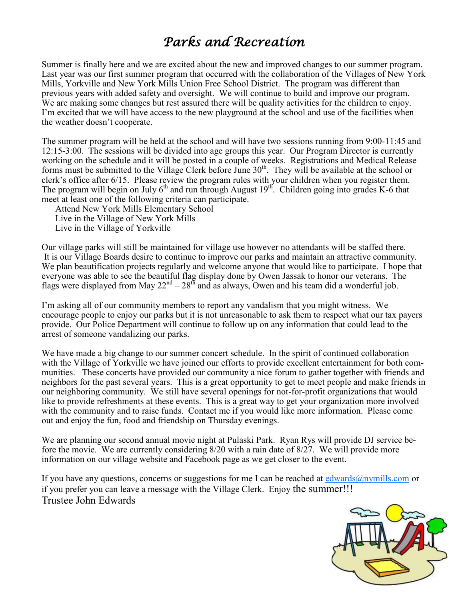## *Parks and Recreation*

Summer is finally here and we are excited about the new and improved changes to our summer program. Last year was our first summer program that occurred with the collaboration of the Villages of New York Mills, Yorkville and New York Mills Union Free School District. The program was different than previous years with added safety and oversight. We will continue to build and improve our program. We are making some changes but rest assured there will be quality activities for the children to enjoy. I'm excited that we will have access to the new playground at the school and use of the facilities when the weather doesn't cooperate.

The summer program will be held at the school and will have two sessions running from 9:00-11:45 and 12:15-3:00. The sessions will be divided into age groups this year. Our Program Director is currently working on the schedule and it will be posted in a couple of weeks. Registrations and Medical Release forms must be submitted to the Village Clerk before June  $30<sup>th</sup>$ . They will be available at the school or clerk's office after 6/15. Please review the program rules with your children when you register them. The program will begin on July  $6<sup>th</sup>$  and run through August  $19<sup>th</sup>$ . Children going into grades K-6 that meet at least one of the following criteria can participate.

Attend New York Mills Elementary School Live in the Village of New York Mills Live in the Village of Yorkville

Our village parks will still be maintained for village use however no attendants will be staffed there. It is our Village Boards desire to continue to improve our parks and maintain an attractive community. We plan beautification projects regularly and welcome anyone that would like to participate. I hope that everyone was able to see the beautiful flag display done by Owen Jassak to honor our veterans. The flags were displayed from May  $22^{nd} - 28^{th}$  and as always, Owen and his team did a wonderful job.

I'm asking all of our community members to report any vandalism that you might witness. We encourage people to enjoy our parks but it is not unreasonable to ask them to respect what our tax payers provide. Our Police Department will continue to follow up on any information that could lead to the arrest of someone vandalizing our parks.

We have made a big change to our summer concert schedule. In the spirit of continued collaboration with the Village of Yorkville we have joined our efforts to provide excellent entertainment for both communities. These concerts have provided our community a nice forum to gather together with friends and neighbors for the past several years. This is a great opportunity to get to meet people and make friends in our neighboring community. We still have several openings for not-for-profit organizations that would like to provide refreshments at these events. This is a great way to get your organization more involved with the community and to raise funds. Contact me if you would like more information. Please come out and enjoy the fun, food and friendship on Thursday evenings.

We are planning our second annual movie night at Pulaski Park. Ryan Rys will provide DJ service before the movie. We are currently considering 8/20 with a rain date of 8/27. We will provide more information on our village website and Facebook page as we get closer to the event.

If you have any questions, concerns or suggestions for me I can be reached at  $edwards@nymills.com$  or if you prefer you can leave a message with the Village Clerk. Enjoy the summer!!! Trustee John Edwards

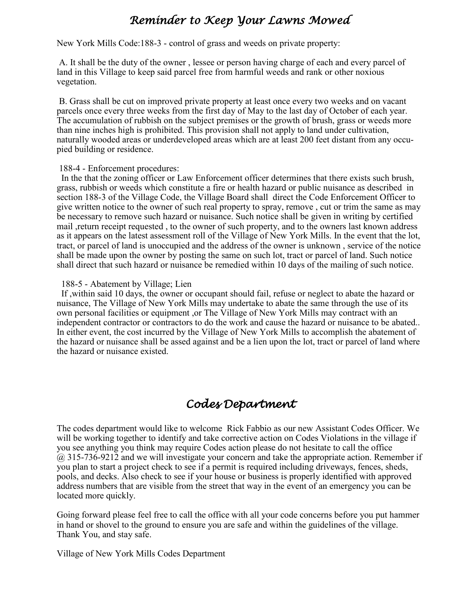#### *Reminder to Keep Your Lawns Mowed*

New York Mills Code:188-3 - control of grass and weeds on private property:

A. It shall be the duty of the owner , lessee or person having charge of each and every parcel of land in this Village to keep said parcel free from harmful weeds and rank or other noxious vegetation.

B. Grass shall be cut on improved private property at least once every two weeks and on vacant parcels once every three weeks from the first day of May to the last day of October of each year. The accumulation of rubbish on the subject premises or the growth of brush, grass or weeds more than nine inches high is prohibited. This provision shall not apply to land under cultivation, naturally wooded areas or underdeveloped areas which are at least 200 feet distant from any occupied building or residence.

#### 188-4 - Enforcement procedures:

 In the that the zoning officer or Law Enforcement officer determines that there exists such brush, grass, rubbish or weeds which constitute a fire or health hazard or public nuisance as described in section 188-3 of the Village Code, the Village Board shall direct the Code Enforcement Officer to give written notice to the owner of such real property to spray, remove , cut or trim the same as may be necessary to remove such hazard or nuisance. Such notice shall be given in writing by certified mail ,return receipt requested , to the owner of such property, and to the owners last known address as it appears on the latest assessment roll of the Village of New York Mills. In the event that the lot, tract, or parcel of land is unoccupied and the address of the owner is unknown , service of the notice shall be made upon the owner by posting the same on such lot, tract or parcel of land. Such notice shall direct that such hazard or nuisance be remedied within 10 days of the mailing of such notice.

#### 188-5 - Abatement by Village; Lien

 If ,within said 10 days, the owner or occupant should fail, refuse or neglect to abate the hazard or nuisance, The Village of New York Mills may undertake to abate the same through the use of its own personal facilities or equipment ,or The Village of New York Mills may contract with an independent contractor or contractors to do the work and cause the hazard or nuisance to be abated.. In either event, the cost incurred by the Village of New York Mills to accomplish the abatement of the hazard or nuisance shall be assed against and be a lien upon the lot, tract or parcel of land where the hazard or nuisance existed.

#### *Codes Department*

The codes department would like to welcome Rick Fabbio as our new Assistant Codes Officer. We will be working together to identify and take corrective action on Codes Violations in the village if you see anything you think may require Codes action please do not hesitate to call the office @ 315-736-9212 and we will investigate your concern and take the appropriate action. Remember if you plan to start a project check to see if a permit is required including driveways, fences, sheds, pools, and decks. Also check to see if your house or business is properly identified with approved address numbers that are visible from the street that way in the event of an emergency you can be located more quickly.

Going forward please feel free to call the office with all your code concerns before you put hammer in hand or shovel to the ground to ensure you are safe and within the guidelines of the village. Thank You, and stay safe.

Village of New York Mills Codes Department